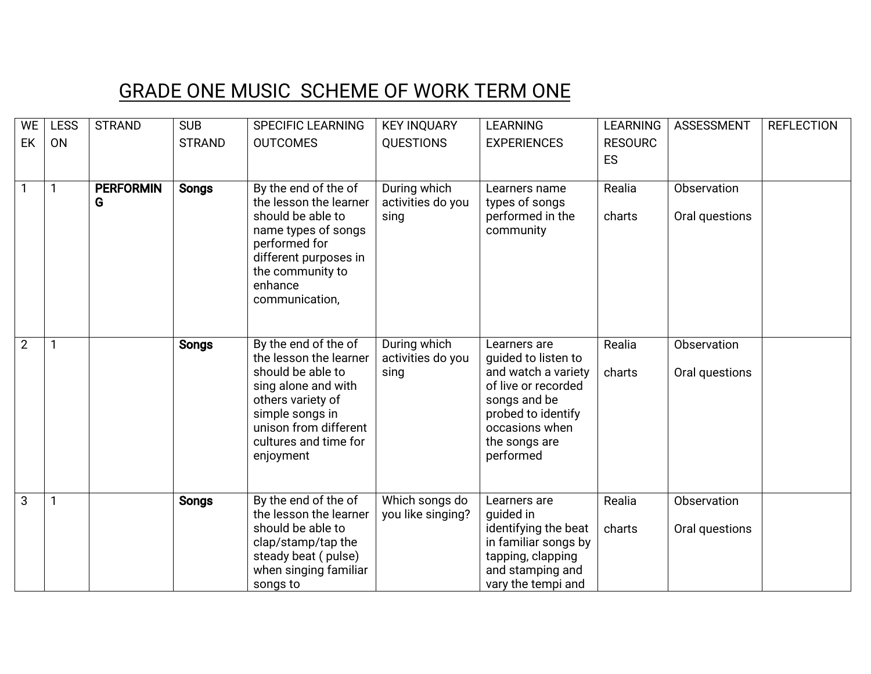## GRADE ONE MUSIC SCHEME OF WORK TERM ONE

| <b>WE</b>      | <b>LESS</b> | <b>STRAND</b>    | <b>SUB</b>    | <b>SPECIFIC LEARNING</b>                 | <b>KEY INQUARY</b> | <b>LEARNING</b>                    | <b>LEARNING</b> | <b>ASSESSMENT</b> | <b>REFLECTION</b> |
|----------------|-------------|------------------|---------------|------------------------------------------|--------------------|------------------------------------|-----------------|-------------------|-------------------|
| EK             | <b>ON</b>   |                  | <b>STRAND</b> | <b>OUTCOMES</b>                          | <b>QUESTIONS</b>   | <b>EXPERIENCES</b>                 | <b>RESOURC</b>  |                   |                   |
|                |             |                  |               |                                          |                    |                                    | ES              |                   |                   |
|                |             |                  |               |                                          |                    |                                    |                 |                   |                   |
|                | 1           | <b>PERFORMIN</b> | <b>Songs</b>  | By the end of the of                     | During which       | Learners name                      | Realia          | Observation       |                   |
|                |             | G                |               | the lesson the learner                   | activities do you  | types of songs                     |                 |                   |                   |
|                |             |                  |               | should be able to<br>name types of songs | sing               | performed in the<br>community      | charts          | Oral questions    |                   |
|                |             |                  |               | performed for                            |                    |                                    |                 |                   |                   |
|                |             |                  |               | different purposes in                    |                    |                                    |                 |                   |                   |
|                |             |                  |               | the community to                         |                    |                                    |                 |                   |                   |
|                |             |                  |               | enhance                                  |                    |                                    |                 |                   |                   |
|                |             |                  |               | communication,                           |                    |                                    |                 |                   |                   |
|                |             |                  |               |                                          |                    |                                    |                 |                   |                   |
| $\overline{2}$ | 1           |                  | <b>Songs</b>  | By the end of the of                     | During which       | Learners are                       | Realia          | Observation       |                   |
|                |             |                  |               | the lesson the learner                   | activities do you  | guided to listen to                |                 |                   |                   |
|                |             |                  |               | should be able to                        | sing               | and watch a variety                | charts          | Oral questions    |                   |
|                |             |                  |               | sing alone and with                      |                    | of live or recorded                |                 |                   |                   |
|                |             |                  |               | others variety of<br>simple songs in     |                    | songs and be<br>probed to identify |                 |                   |                   |
|                |             |                  |               | unison from different                    |                    | occasions when                     |                 |                   |                   |
|                |             |                  |               | cultures and time for                    |                    | the songs are                      |                 |                   |                   |
|                |             |                  |               | enjoyment                                |                    | performed                          |                 |                   |                   |
|                |             |                  |               |                                          |                    |                                    |                 |                   |                   |
| 3              | 1           |                  | <b>Songs</b>  | By the end of the of                     | Which songs do     | Learners are                       | Realia          | Observation       |                   |
|                |             |                  |               | the lesson the learner                   | you like singing?  | quided in                          |                 |                   |                   |
|                |             |                  |               | should be able to                        |                    | identifying the beat               | charts          | Oral questions    |                   |
|                |             |                  |               | clap/stamp/tap the                       |                    | in familiar songs by               |                 |                   |                   |
|                |             |                  |               | steady beat (pulse)                      |                    | tapping, clapping                  |                 |                   |                   |
|                |             |                  |               | when singing familiar                    |                    | and stamping and                   |                 |                   |                   |
|                |             |                  |               | songs to                                 |                    | vary the tempi and                 |                 |                   |                   |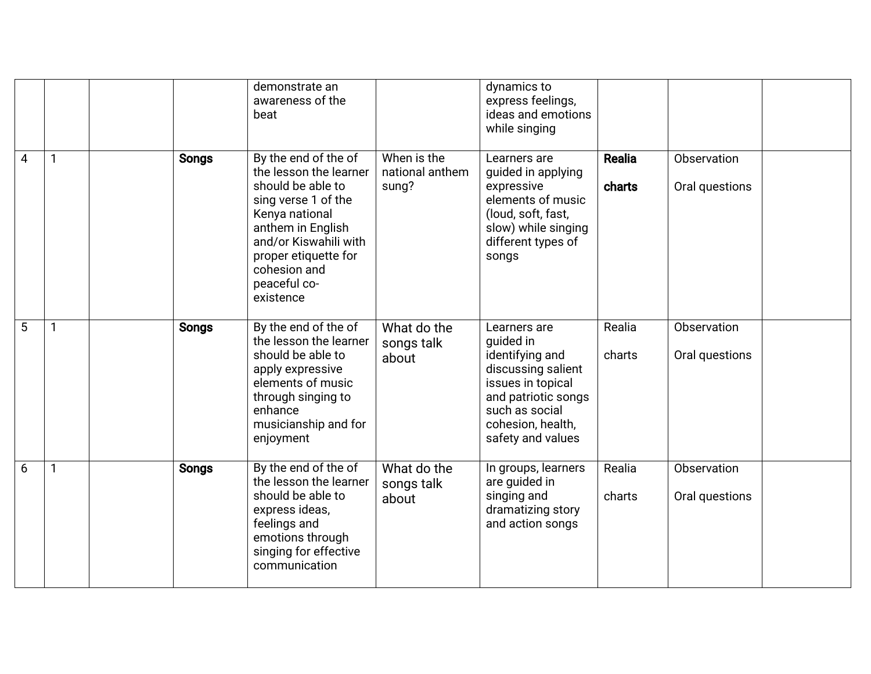|   |              |              | demonstrate an<br>awareness of the<br>beat                                                                                                                                                                                      |                                         | dynamics to<br>express feelings,<br>ideas and emotions<br>while singing                                                                                                    |                  |                               |  |
|---|--------------|--------------|---------------------------------------------------------------------------------------------------------------------------------------------------------------------------------------------------------------------------------|-----------------------------------------|----------------------------------------------------------------------------------------------------------------------------------------------------------------------------|------------------|-------------------------------|--|
| 4 | $\mathbf{1}$ | <b>Songs</b> | By the end of the of<br>the lesson the learner<br>should be able to<br>sing verse 1 of the<br>Kenya national<br>anthem in English<br>and/or Kiswahili with<br>proper etiquette for<br>cohesion and<br>peaceful co-<br>existence | When is the<br>national anthem<br>sung? | Learners are<br>guided in applying<br>expressive<br>elements of music<br>(loud, soft, fast,<br>slow) while singing<br>different types of<br>songs                          | Realia<br>charts | Observation<br>Oral questions |  |
| 5 | 1            | <b>Songs</b> | By the end of the of<br>the lesson the learner<br>should be able to<br>apply expressive<br>elements of music<br>through singing to<br>enhance<br>musicianship and for<br>enjoyment                                              | What do the<br>songs talk<br>about      | Learners are<br>quided in<br>identifying and<br>discussing salient<br>issues in topical<br>and patriotic songs<br>such as social<br>cohesion, health,<br>safety and values | Realia<br>charts | Observation<br>Oral questions |  |
| 6 | 1            | <b>Songs</b> | By the end of the of<br>the lesson the learner<br>should be able to<br>express ideas,<br>feelings and<br>emotions through<br>singing for effective<br>communication                                                             | What do the<br>songs talk<br>about      | In groups, learners<br>are guided in<br>singing and<br>dramatizing story<br>and action songs                                                                               | Realia<br>charts | Observation<br>Oral questions |  |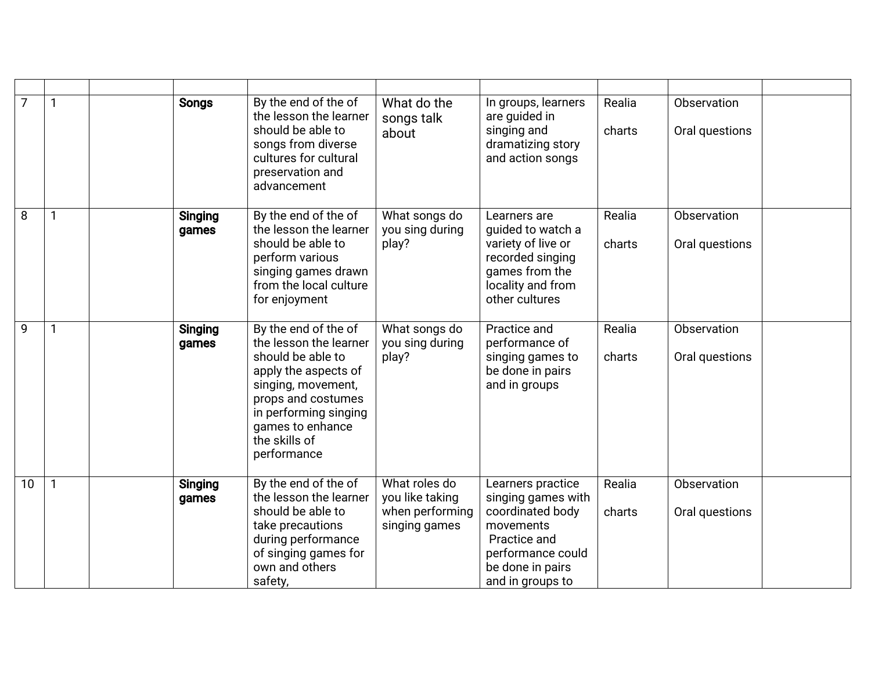| $\overline{7}$ | 1            | <b>Songs</b>            | By the end of the of<br>the lesson the learner<br>should be able to<br>songs from diverse<br>cultures for cultural<br>preservation and<br>advancement                                                                | What do the<br>songs talk<br>about                                   | In groups, learners<br>are quided in<br>singing and<br>dramatizing story<br>and action songs                                                          | Realia<br>charts | Observation<br>Oral questions |  |
|----------------|--------------|-------------------------|----------------------------------------------------------------------------------------------------------------------------------------------------------------------------------------------------------------------|----------------------------------------------------------------------|-------------------------------------------------------------------------------------------------------------------------------------------------------|------------------|-------------------------------|--|
| 8              | 1            | <b>Singing</b><br>games | By the end of the of<br>the lesson the learner<br>should be able to<br>perform various<br>singing games drawn<br>from the local culture<br>for enjoyment                                                             | What songs do<br>you sing during<br>play?                            | Learners are<br>guided to watch a<br>variety of live or<br>recorded singing<br>games from the<br>locality and from<br>other cultures                  | Realia<br>charts | Observation<br>Oral questions |  |
| 9              | $\mathbf{1}$ | <b>Singing</b><br>games | By the end of the of<br>the lesson the learner<br>should be able to<br>apply the aspects of<br>singing, movement,<br>props and costumes<br>in performing singing<br>games to enhance<br>the skills of<br>performance | What songs do<br>you sing during<br>play?                            | Practice and<br>performance of<br>singing games to<br>be done in pairs<br>and in groups                                                               | Realia<br>charts | Observation<br>Oral questions |  |
| 10             | $\mathbf{1}$ | <b>Singing</b><br>games | By the end of the of<br>the lesson the learner<br>should be able to<br>take precautions<br>during performance<br>of singing games for<br>own and others<br>safety,                                                   | What roles do<br>you like taking<br>when performing<br>singing games | Learners practice<br>singing games with<br>coordinated body<br>movements<br>Practice and<br>performance could<br>be done in pairs<br>and in groups to | Realia<br>charts | Observation<br>Oral questions |  |